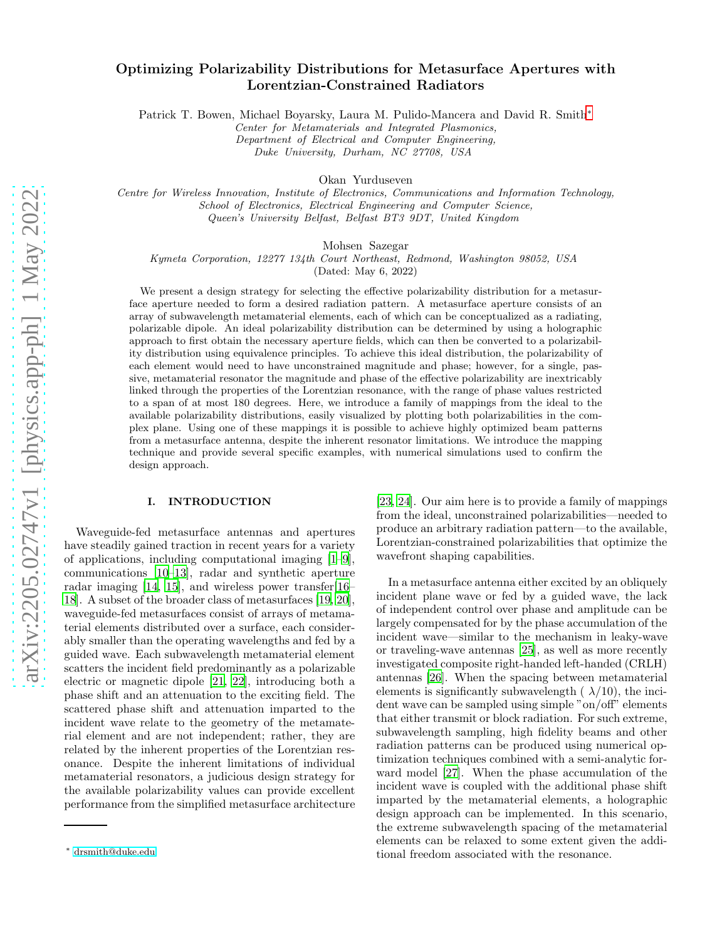# Optimizing Polarizability Distributions for Metasurface Apertures with Lorentzian-Constrained Radiators

Patrick T. Bowen, Michael Boyarsky, Laura M. Pulido-Mancera and David R. Smith[∗](#page-0-0)

*Center for Metamaterials and Integrated Plasmonics, Department of Electrical and Computer Engineering,*

*Duke University, Durham, NC 27708, USA*

Okan Yurduseven

*Centre for Wireless Innovation, Institute of Electronics, Communications and Information Technology, School of Electronics, Electrical Engineering and Computer Science, Queen's University Belfast, Belfast BT3 9DT, United Kingdom*

Mohsen Sazegar

*Kymeta Corporation, 12277 134th Court Northeast, Redmond, Washington 98052, USA*

(Dated: May 6, 2022)

We present a design strategy for selecting the effective polarizability distribution for a metasurface aperture needed to form a desired radiation pattern. A metasurface aperture consists of an array of subwavelength metamaterial elements, each of which can be conceptualized as a radiating, polarizable dipole. An ideal polarizability distribution can be determined by using a holographic approach to first obtain the necessary aperture fields, which can then be converted to a polarizability distribution using equivalence principles. To achieve this ideal distribution, the polarizability of each element would need to have unconstrained magnitude and phase; however, for a single, passive, metamaterial resonator the magnitude and phase of the effective polarizability are inextricably linked through the properties of the Lorentzian resonance, with the range of phase values restricted to a span of at most 180 degrees. Here, we introduce a family of mappings from the ideal to the available polarizability distributions, easily visualized by plotting both polarizabilities in the complex plane. Using one of these mappings it is possible to achieve highly optimized beam patterns from a metasurface antenna, despite the inherent resonator limitations. We introduce the mapping technique and provide several specific examples, with numerical simulations used to confirm the design approach.

## I. INTRODUCTION

Waveguide-fed metasurface antennas and apertures have steadily gained traction in recent years for a variety of applications, including computational imaging [\[1](#page-12-0)[–9\]](#page-12-1), communications [\[10](#page-12-2)[–13\]](#page-12-3), radar and synthetic aperture radar imaging [\[14,](#page-12-4) [15\]](#page-12-5), and wireless power transfer[16– [18\]](#page-12-6). A subset of the broader class of metasurfaces [\[19,](#page-12-7) [20\]](#page-12-8), waveguide-fed metasurfaces consist of arrays of metamaterial elements distributed over a surface, each considerably smaller than the operating wavelengths and fed by a guided wave. Each subwavelength metamaterial element scatters the incident field predominantly as a polarizable electric or magnetic dipole [\[21,](#page-12-9) [22\]](#page-12-10), introducing both a phase shift and an attenuation to the exciting field. The scattered phase shift and attenuation imparted to the incident wave relate to the geometry of the metamaterial element and are not independent; rather, they are related by the inherent properties of the Lorentzian resonance. Despite the inherent limitations of individual metamaterial resonators, a judicious design strategy for the available polarizability values can provide excellent performance from the simplified metasurface architecture

[\[23,](#page-12-11) [24](#page-12-12)]. Our aim here is to provide a family of mappings from the ideal, unconstrained polarizabilities—needed to produce an arbitrary radiation pattern—to the available, Lorentzian-constrained polarizabilities that optimize the wavefront shaping capabilities.

In a metasurface antenna either excited by an obliquely incident plane wave or fed by a guided wave, the lack of independent control over phase and amplitude can be largely compensated for by the phase accumulation of the incident wave—similar to the mechanism in leaky-wave or traveling-wave antennas [\[25\]](#page-12-13), as well as more recently investigated composite right-handed left-handed (CRLH) antennas [\[26\]](#page-12-14). When the spacing between metamaterial elements is significantly subwavelength  $(\lambda/10)$ , the incident wave can be sampled using simple "on/off" elements that either transmit or block radiation. For such extreme, subwavelength sampling, high fidelity beams and other radiation patterns can be produced using numerical optimization techniques combined with a semi-analytic forward model [\[27\]](#page-12-15). When the phase accumulation of the incident wave is coupled with the additional phase shift imparted by the metamaterial elements, a holographic design approach can be implemented. In this scenario, the extreme subwavelength spacing of the metamaterial elements can be relaxed to some extent given the additional freedom associated with the resonance.

<span id="page-0-0"></span><sup>∗</sup> [drsmith@duke.edu](mailto:drsmith@duke.edu)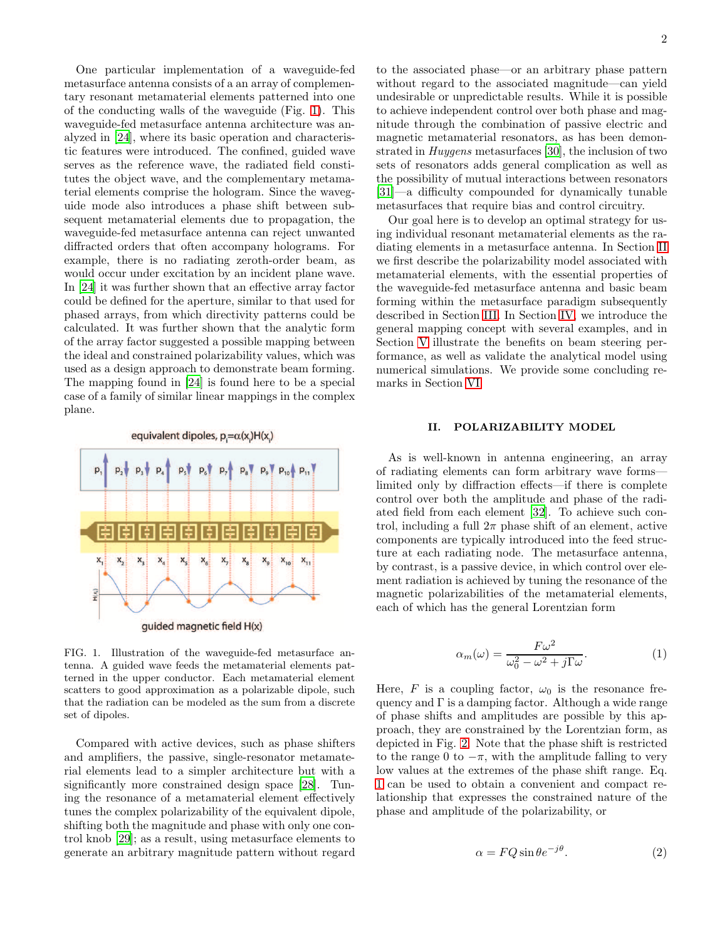One particular implementation of a waveguide-fed metasurface antenna consists of a an array of complementary resonant metamaterial elements patterned into one of the conducting walls of the waveguide (Fig. [1\)](#page-1-0). This waveguide-fed metasurface antenna architecture was analyzed in [\[24\]](#page-12-12), where its basic operation and characteristic features were introduced. The confined, guided wave serves as the reference wave, the radiated field constitutes the object wave, and the complementary metamaterial elements comprise the hologram. Since the waveguide mode also introduces a phase shift between subsequent metamaterial elements due to propagation, the waveguide-fed metasurface antenna can reject unwanted diffracted orders that often accompany holograms. For example, there is no radiating zeroth-order beam, as would occur under excitation by an incident plane wave. In [\[24\]](#page-12-12) it was further shown that an effective array factor could be defined for the aperture, similar to that used for phased arrays, from which directivity patterns could be calculated. It was further shown that the analytic form of the array factor suggested a possible mapping between the ideal and constrained polarizability values, which was used as a design approach to demonstrate beam forming. The mapping found in [\[24\]](#page-12-12) is found here to be a special case of a family of similar linear mappings in the complex plane.

equivalent dipoles,  $p = \alpha(x)H(x)$  $X_{10}$  $\mathbf{x}_{11}$  $x_{2}$ guided magnetic field H(x)

<span id="page-1-0"></span>FIG. 1. Illustration of the waveguide-fed metasurface antenna. A guided wave feeds the metamaterial elements patterned in the upper conductor. Each metamaterial element scatters to good approximation as a polarizable dipole, such that the radiation can be modeled as the sum from a discrete set of dipoles.

Compared with active devices, such as phase shifters and amplifiers, the passive, single-resonator metamaterial elements lead to a simpler architecture but with a significantly more constrained design space [\[28](#page-12-16)]. Tuning the resonance of a metamaterial element effectively tunes the complex polarizability of the equivalent dipole, shifting both the magnitude and phase with only one control knob [\[29\]](#page-12-17); as a result, using metasurface elements to generate an arbitrary magnitude pattern without regard

to the associated phase—or an arbitrary phase pattern without regard to the associated magnitude—can yield undesirable or unpredictable results. While it is possible to achieve independent control over both phase and magnitude through the combination of passive electric and magnetic metamaterial resonators, as has been demonstrated in Huygens metasurfaces [\[30](#page-12-18)], the inclusion of two sets of resonators adds general complication as well as the possibility of mutual interactions between resonators [\[31\]](#page-12-19)—a difficulty compounded for dynamically tunable metasurfaces that require bias and control circuitry.

Our goal here is to develop an optimal strategy for using individual resonant metamaterial elements as the radiating elements in a metasurface antenna. In Section [II](#page-1-1) we first describe the polarizability model associated with metamaterial elements, with the essential properties of the waveguide-fed metasurface antenna and basic beam forming within the metasurface paradigm subsequently described in Section [III.](#page-2-0) In Section [IV,](#page-4-0) we introduce the general mapping concept with several examples, and in Section [V](#page-8-0) illustrate the benefits on beam steering performance, as well as validate the analytical model using numerical simulations. We provide some concluding remarks in Section [VI.](#page-11-0)

## <span id="page-1-1"></span>II. POLARIZABILITY MODEL

As is well-known in antenna engineering, an array of radiating elements can form arbitrary wave forms limited only by diffraction effects—if there is complete control over both the amplitude and phase of the radiated field from each element [\[32\]](#page-12-20). To achieve such control, including a full  $2\pi$  phase shift of an element, active components are typically introduced into the feed structure at each radiating node. The metasurface antenna, by contrast, is a passive device, in which control over element radiation is achieved by tuning the resonance of the magnetic polarizabilities of the metamaterial elements, each of which has the general Lorentzian form

<span id="page-1-2"></span>
$$
\alpha_m(\omega) = \frac{F\omega^2}{\omega_0^2 - \omega^2 + j\Gamma\omega}.\tag{1}
$$

Here, F is a coupling factor,  $\omega_0$  is the resonance frequency and  $\Gamma$  is a damping factor. Although a wide range of phase shifts and amplitudes are possible by this approach, they are constrained by the Lorentzian form, as depicted in Fig. [2.](#page-2-1) Note that the phase shift is restricted to the range 0 to  $-\pi$ , with the amplitude falling to very low values at the extremes of the phase shift range. Eq. [1](#page-1-2) can be used to obtain a convenient and compact relationship that expresses the constrained nature of the phase and amplitude of the polarizability, or

<span id="page-1-3"></span>
$$
\alpha = FQ\sin\theta e^{-j\theta}.\tag{2}
$$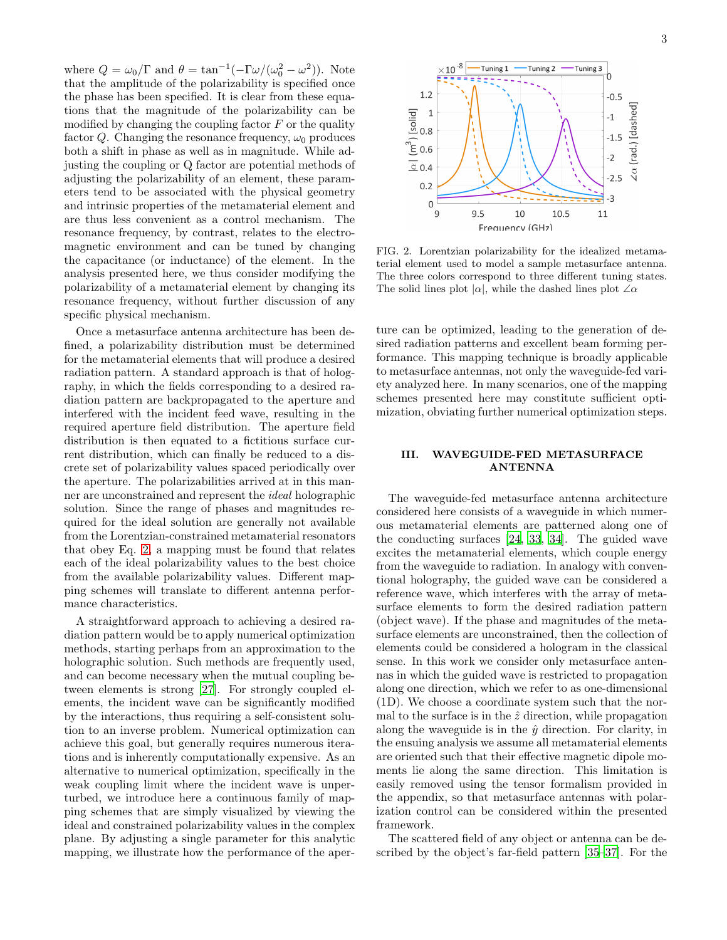where  $Q = \omega_0/\Gamma$  and  $\theta = \tan^{-1}(-\Gamma\omega/(\omega_0^2 - \omega^2))$ . Note that the amplitude of the polarizability is specified once the phase has been specified. It is clear from these equations that the magnitude of the polarizability can be modified by changing the coupling factor  $F$  or the quality factor Q. Changing the resonance frequency,  $\omega_0$  produces both a shift in phase as well as in magnitude. While adjusting the coupling or Q factor are potential methods of adjusting the polarizability of an element, these parameters tend to be associated with the physical geometry and intrinsic properties of the metamaterial element and are thus less convenient as a control mechanism. The resonance frequency, by contrast, relates to the electromagnetic environment and can be tuned by changing the capacitance (or inductance) of the element. In the analysis presented here, we thus consider modifying the polarizability of a metamaterial element by changing its resonance frequency, without further discussion of any specific physical mechanism.

Once a metasurface antenna architecture has been defined, a polarizability distribution must be determined for the metamaterial elements that will produce a desired radiation pattern. A standard approach is that of holography, in which the fields corresponding to a desired radiation pattern are backpropagated to the aperture and interfered with the incident feed wave, resulting in the required aperture field distribution. The aperture field distribution is then equated to a fictitious surface current distribution, which can finally be reduced to a discrete set of polarizability values spaced periodically over the aperture. The polarizabilities arrived at in this manner are unconstrained and represent the ideal holographic solution. Since the range of phases and magnitudes required for the ideal solution are generally not available from the Lorentzian-constrained metamaterial resonators that obey Eq. [2,](#page-1-3) a mapping must be found that relates each of the ideal polarizability values to the best choice from the available polarizability values. Different mapping schemes will translate to different antenna performance characteristics.

A straightforward approach to achieving a desired radiation pattern would be to apply numerical optimization methods, starting perhaps from an approximation to the holographic solution. Such methods are frequently used, and can become necessary when the mutual coupling between elements is strong [\[27\]](#page-12-15). For strongly coupled elements, the incident wave can be significantly modified by the interactions, thus requiring a self-consistent solution to an inverse problem. Numerical optimization can achieve this goal, but generally requires numerous iterations and is inherently computationally expensive. As an alternative to numerical optimization, specifically in the weak coupling limit where the incident wave is unperturbed, we introduce here a continuous family of mapping schemes that are simply visualized by viewing the ideal and constrained polarizability values in the complex plane. By adjusting a single parameter for this analytic mapping, we illustrate how the performance of the aper-



<span id="page-2-1"></span>FIG. 2. Lorentzian polarizability for the idealized metamaterial element used to model a sample metasurface antenna. The three colors correspond to three different tuning states. The solid lines plot  $|\alpha|$ , while the dashed lines plot  $\angle \alpha$ 

ture can be optimized, leading to the generation of desired radiation patterns and excellent beam forming performance. This mapping technique is broadly applicable to metasurface antennas, not only the waveguide-fed variety analyzed here. In many scenarios, one of the mapping schemes presented here may constitute sufficient optimization, obviating further numerical optimization steps.

## <span id="page-2-0"></span>III. WAVEGUIDE-FED METASURFACE ANTENNA

The waveguide-fed metasurface antenna architecture considered here consists of a waveguide in which numerous metamaterial elements are patterned along one of the conducting surfaces [\[24,](#page-12-12) [33,](#page-13-0) [34\]](#page-13-1). The guided wave excites the metamaterial elements, which couple energy from the waveguide to radiation. In analogy with conventional holography, the guided wave can be considered a reference wave, which interferes with the array of metasurface elements to form the desired radiation pattern (object wave). If the phase and magnitudes of the metasurface elements are unconstrained, then the collection of elements could be considered a hologram in the classical sense. In this work we consider only metasurface antennas in which the guided wave is restricted to propagation along one direction, which we refer to as one-dimensional (1D). We choose a coordinate system such that the normal to the surface is in the  $\hat{z}$  direction, while propagation along the waveguide is in the  $\hat{y}$  direction. For clarity, in the ensuing analysis we assume all metamaterial elements are oriented such that their effective magnetic dipole moments lie along the same direction. This limitation is easily removed using the tensor formalism provided in the appendix, so that metasurface antennas with polarization control can be considered within the presented framework.

The scattered field of any object or antenna can be described by the object's far-field pattern [\[35](#page-13-2)[–37\]](#page-13-3). For the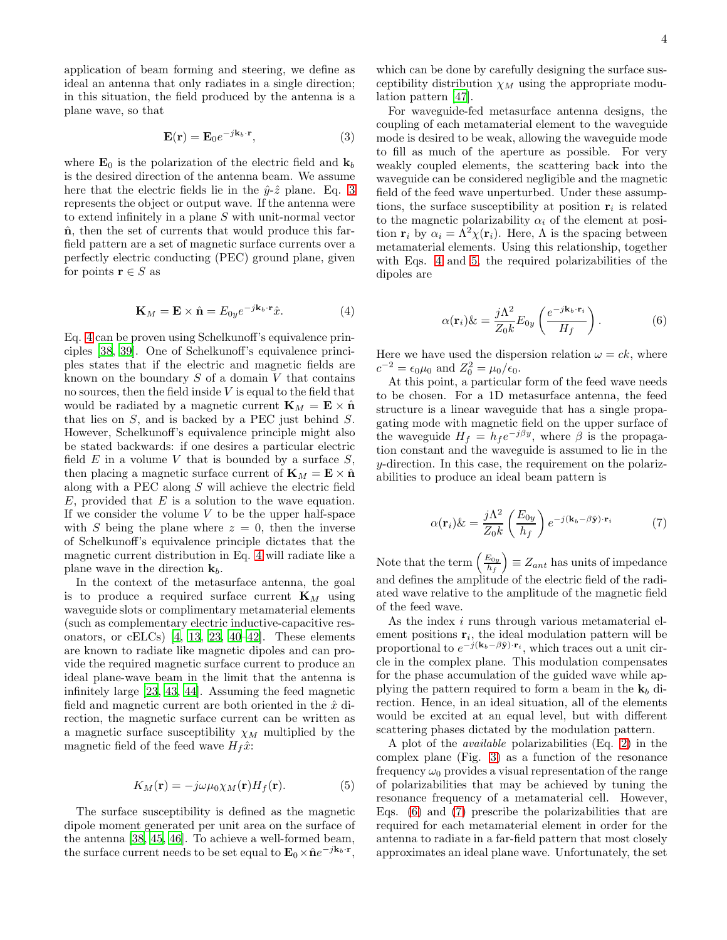application of beam forming and steering, we define as ideal an antenna that only radiates in a single direction; in this situation, the field produced by the antenna is a plane wave, so that

<span id="page-3-0"></span>
$$
\mathbf{E}(\mathbf{r}) = \mathbf{E}_0 e^{-j\mathbf{k}_b \cdot \mathbf{r}},\tag{3}
$$

where  $\mathbf{E}_0$  is the polarization of the electric field and  $\mathbf{k}_b$ is the desired direction of the antenna beam. We assume here that the electric fields lie in the  $\hat{y}$ - $\hat{z}$  plane. Eq. [3](#page-3-0) represents the object or output wave. If the antenna were to extend infinitely in a plane S with unit-normal vector  $\hat{\mathbf{n}}$ , then the set of currents that would produce this farfield pattern are a set of magnetic surface currents over a perfectly electric conducting (PEC) ground plane, given for points  $\mathbf{r} \in S$  as

<span id="page-3-1"></span>
$$
\mathbf{K}_M = \mathbf{E} \times \hat{\mathbf{n}} = E_{0y} e^{-j\mathbf{k}_b \cdot \mathbf{r}} \hat{x}.
$$
 (4)

Eq. [4](#page-3-1) can be proven using Schelkunoff's equivalence principles [\[38,](#page-13-4) [39](#page-13-5)]. One of Schelkunoff's equivalence principles states that if the electric and magnetic fields are known on the boundary  $S$  of a domain  $V$  that contains no sources, then the field inside  $V$  is equal to the field that would be radiated by a magnetic current  $\mathbf{K}_M = \mathbf{E} \times \hat{\mathbf{n}}$ that lies on S, and is backed by a PEC just behind S. However, Schelkunoff's equivalence principle might also be stated backwards: if one desires a particular electric field  $E$  in a volume  $V$  that is bounded by a surface  $S$ , then placing a magnetic surface current of  $\mathbf{K}_M = \mathbf{E} \times \hat{\mathbf{n}}$ along with a PEC along S will achieve the electric field  $E$ , provided that  $E$  is a solution to the wave equation. If we consider the volume  $V$  to be the upper half-space with S being the plane where  $z = 0$ , then the inverse of Schelkunoff's equivalence principle dictates that the magnetic current distribution in Eq. [4](#page-3-1) will radiate like a plane wave in the direction  $\mathbf{k}_b$ .

In the context of the metasurface antenna, the goal is to produce a required surface current  $\mathbf{K}_M$  using waveguide slots or complimentary metamaterial elements (such as complementary electric inductive-capacitive resonators, or  $cELCs$  [\[4,](#page-12-21) [13,](#page-12-3) [23](#page-12-11), [40](#page-13-6)[–42](#page-13-7)]. These elements are known to radiate like magnetic dipoles and can provide the required magnetic surface current to produce an ideal plane-wave beam in the limit that the antenna is infinitely large [\[23](#page-12-11), [43](#page-13-8), [44\]](#page-13-9). Assuming the feed magnetic field and magnetic current are both oriented in the  $\hat{x}$  direction, the magnetic surface current can be written as a magnetic surface susceptibility  $\chi_M$  multiplied by the magnetic field of the feed wave  $H_f\hat{x}$ :

<span id="page-3-2"></span>
$$
K_M(\mathbf{r}) = -j\omega\mu_0\chi_M(\mathbf{r})H_f(\mathbf{r}).\tag{5}
$$

The surface susceptibility is defined as the magnetic dipole moment generated per unit area on the surface of the antenna [\[38](#page-13-4), [45](#page-13-10), [46\]](#page-13-11). To achieve a well-formed beam, the surface current needs to be set equal to  $\mathbf{E}_0 \times \hat{\mathbf{n}} e^{-j\mathbf{k}_b \cdot \mathbf{r}}$ ,

which can be done by carefully designing the surface susceptibility distribution  $\chi_M$  using the appropriate modulation pattern [\[47](#page-13-12)].

For waveguide-fed metasurface antenna designs, the coupling of each metamaterial element to the waveguide mode is desired to be weak, allowing the waveguide mode to fill as much of the aperture as possible. For very weakly coupled elements, the scattering back into the waveguide can be considered negligible and the magnetic field of the feed wave unperturbed. Under these assumptions, the surface susceptibility at position  $r_i$  is related to the magnetic polarizability  $\alpha_i$  of the element at position  $\mathbf{r}_i$  by  $\alpha_i = \Lambda^2 \chi(\mathbf{r}_i)$ . Here,  $\Lambda$  is the spacing between metamaterial elements. Using this relationship, together with Eqs. [4](#page-3-1) and [5,](#page-3-2) the required polarizabilities of the dipoles are

<span id="page-3-3"></span>
$$
\alpha(\mathbf{r}_i)\& = \frac{j\Lambda^2}{Z_0 k} E_{0y} \left(\frac{e^{-j\mathbf{k}_b \cdot \mathbf{r}_i}}{H_f}\right). \tag{6}
$$

Here we have used the dispersion relation  $\omega = ck$ , where  $c^{-2} = \epsilon_0 \mu_0$  and  $Z_0^2 = \mu_0 / \epsilon_0$ .

At this point, a particular form of the feed wave needs to be chosen. For a 1D metasurface antenna, the feed structure is a linear waveguide that has a single propagating mode with magnetic field on the upper surface of the waveguide  $H_f = h_f e^{-j\beta y}$ , where  $\beta$  is the propagation constant and the waveguide is assumed to lie in the y-direction. In this case, the requirement on the polarizabilities to produce an ideal beam pattern is

<span id="page-3-4"></span>
$$
\alpha(\mathbf{r}_i)\&=\frac{j\Lambda^2}{Z_0k}\left(\frac{E_{0y}}{h_f}\right)e^{-j(\mathbf{k}_b-\beta\hat{\mathbf{y}})\cdot\mathbf{r}_i}
$$
(7)

Note that the term  $\left(\frac{E_{0y}}{h} \right)$  $\left(\frac{E_{0y}}{h_f}\right) \equiv Z_{ant}$  has units of impedance and defines the amplitude of the electric field of the radiated wave relative to the amplitude of the magnetic field of the feed wave.

As the index i runs through various metamaterial element positions  $\mathbf{r}_i$ , the ideal modulation pattern will be proportional to  $e^{-j(\mathbf{k}_b-\beta \hat{\mathbf{y}})\cdot \mathbf{r}_i}$ , which traces out a unit circle in the complex plane. This modulation compensates for the phase accumulation of the guided wave while applying the pattern required to form a beam in the  $\mathbf{k}_b$  direction. Hence, in an ideal situation, all of the elements would be excited at an equal level, but with different scattering phases dictated by the modulation pattern.

A plot of the available polarizabilities (Eq. [2\)](#page-1-3) in the complex plane (Fig. [3\)](#page-4-1) as a function of the resonance frequency  $\omega_0$  provides a visual representation of the range of polarizabilities that may be achieved by tuning the resonance frequency of a metamaterial cell. However, Eqs. [\(6\)](#page-3-3) and [\(7\)](#page-3-4) prescribe the polarizabilities that are required for each metamaterial element in order for the antenna to radiate in a far-field pattern that most closely approximates an ideal plane wave. Unfortunately, the set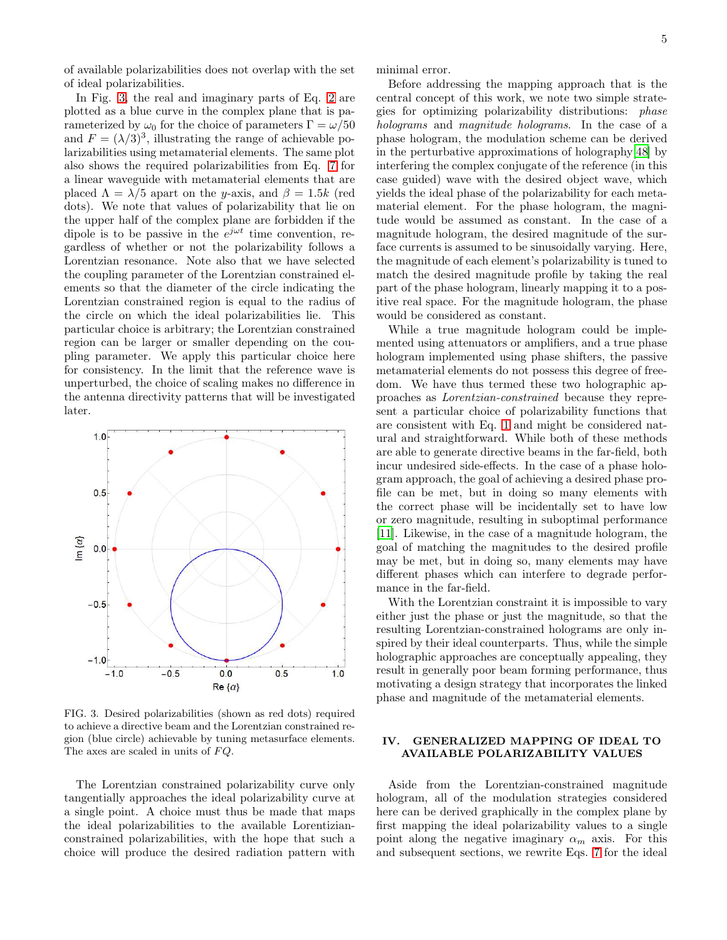of available polarizabilities does not overlap with the set of ideal polarizabilities.

In Fig. [3,](#page-4-1) the real and imaginary parts of Eq. [2](#page-1-3) are plotted as a blue curve in the complex plane that is parameterized by  $\omega_0$  for the choice of parameters  $\Gamma = \omega/50$ and  $F = (\lambda/3)^3$ , illustrating the range of achievable polarizabilities using metamaterial elements. The same plot also shows the required polarizabilities from Eq. [7](#page-3-4) for a linear waveguide with metamaterial elements that are placed  $\Lambda = \lambda/5$  apart on the y-axis, and  $\beta = 1.5k$  (red dots). We note that values of polarizability that lie on the upper half of the complex plane are forbidden if the dipole is to be passive in the  $e^{j\omega t}$  time convention, regardless of whether or not the polarizability follows a Lorentzian resonance. Note also that we have selected the coupling parameter of the Lorentzian constrained elements so that the diameter of the circle indicating the Lorentzian constrained region is equal to the radius of the circle on which the ideal polarizabilities lie. This particular choice is arbitrary; the Lorentzian constrained region can be larger or smaller depending on the coupling parameter. We apply this particular choice here for consistency. In the limit that the reference wave is unperturbed, the choice of scaling makes no difference in the antenna directivity patterns that will be investigated later.



<span id="page-4-1"></span>FIG. 3. Desired polarizabilities (shown as red dots) required to achieve a directive beam and the Lorentzian constrained region (blue circle) achievable by tuning metasurface elements. The axes are scaled in units of  $FQ$ .

The Lorentzian constrained polarizability curve only tangentially approaches the ideal polarizability curve at a single point. A choice must thus be made that maps the ideal polarizabilities to the available Lorentizianconstrained polarizabilities, with the hope that such a choice will produce the desired radiation pattern with minimal error.

Before addressing the mapping approach that is the central concept of this work, we note two simple strategies for optimizing polarizability distributions: phase holograms and magnitude holograms. In the case of a phase hologram, the modulation scheme can be derived in the perturbative approximations of holography[\[48\]](#page-13-13) by interfering the complex conjugate of the reference (in this case guided) wave with the desired object wave, which yields the ideal phase of the polarizability for each metamaterial element. For the phase hologram, the magnitude would be assumed as constant. In the case of a magnitude hologram, the desired magnitude of the surface currents is assumed to be sinusoidally varying. Here, the magnitude of each element's polarizability is tuned to match the desired magnitude profile by taking the real part of the phase hologram, linearly mapping it to a positive real space. For the magnitude hologram, the phase would be considered as constant.

While a true magnitude hologram could be implemented using attenuators or amplifiers, and a true phase hologram implemented using phase shifters, the passive metamaterial elements do not possess this degree of freedom. We have thus termed these two holographic approaches as Lorentzian-constrained because they represent a particular choice of polarizability functions that are consistent with Eq. [1](#page-1-2) and might be considered natural and straightforward. While both of these methods are able to generate directive beams in the far-field, both incur undesired side-effects. In the case of a phase hologram approach, the goal of achieving a desired phase profile can be met, but in doing so many elements with the correct phase will be incidentally set to have low or zero magnitude, resulting in suboptimal performance [\[11\]](#page-12-22). Likewise, in the case of a magnitude hologram, the goal of matching the magnitudes to the desired profile may be met, but in doing so, many elements may have different phases which can interfere to degrade performance in the far-field.

With the Lorentzian constraint it is impossible to vary either just the phase or just the magnitude, so that the resulting Lorentzian-constrained holograms are only inspired by their ideal counterparts. Thus, while the simple holographic approaches are conceptually appealing, they result in generally poor beam forming performance, thus motivating a design strategy that incorporates the linked phase and magnitude of the metamaterial elements.

## <span id="page-4-0"></span>IV. GENERALIZED MAPPING OF IDEAL TO AVAILABLE POLARIZABILITY VALUES

Aside from the Lorentzian-constrained magnitude hologram, all of the modulation strategies considered here can be derived graphically in the complex plane by first mapping the ideal polarizability values to a single point along the negative imaginary  $\alpha_m$  axis. For this and subsequent sections, we rewrite Eqs. [7](#page-3-4) for the ideal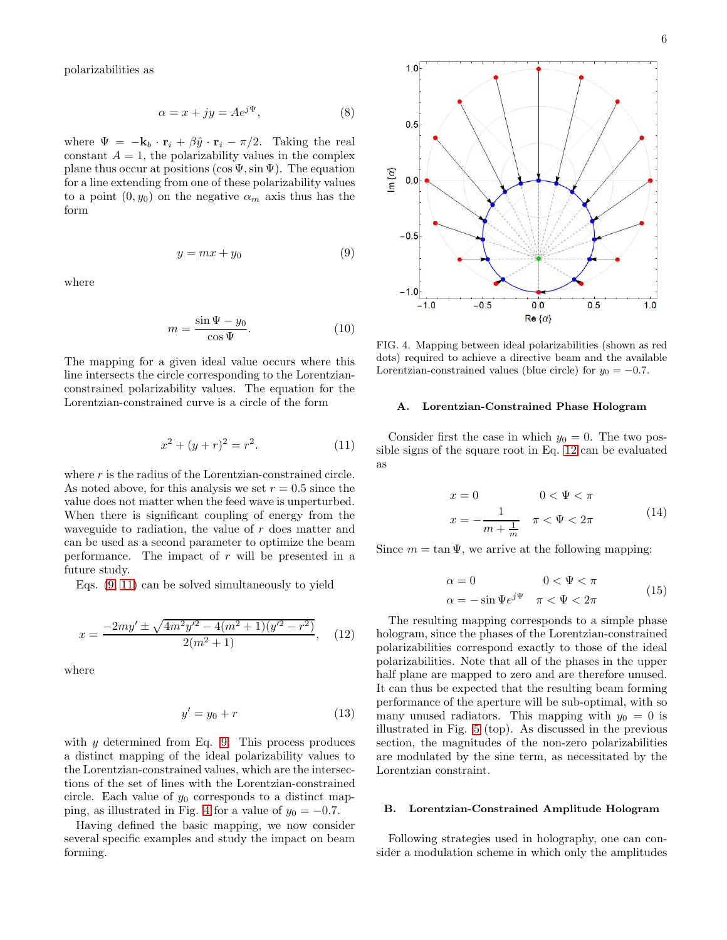polarizabilities as

<span id="page-5-4"></span>
$$
\alpha = x + jy = Ae^{j\Psi},\tag{8}
$$

where  $\Psi = -\mathbf{k}_b \cdot \mathbf{r}_i + \beta \hat{y} \cdot \mathbf{r}_i - \pi/2$ . Taking the real constant  $A = 1$ , the polarizability values in the complex plane thus occur at positions (cos  $\Psi$ , sin  $\Psi$ ). The equation for a line extending from one of these polarizability values to a point  $(0, y_0)$  on the negative  $\alpha_m$  axis thus has the form

<span id="page-5-0"></span>
$$
y = mx + y_0 \tag{9}
$$

 $\ln{\lbrace \alpha \rbrace}$ 

where

$$
m = \frac{\sin \Psi - y_0}{\cos \Psi}.
$$
 (10)

The mapping for a given ideal value occurs where this line intersects the circle corresponding to the Lorentzianconstrained polarizability values. The equation for the Lorentzian-constrained curve is a circle of the form

<span id="page-5-1"></span>
$$
x^2 + (y+r)^2 = r^2.
$$
 (11)

where  $r$  is the radius of the Lorentzian-constrained circle. As noted above, for this analysis we set  $r = 0.5$  since the value does not matter when the feed wave is unperturbed. When there is significant coupling of energy from the waveguide to radiation, the value of r does matter and can be used as a second parameter to optimize the beam performance. The impact of  $r$  will be presented in a future study.

Eqs. [\(9,](#page-5-0) [11\)](#page-5-1) can be solved simultaneously to yield

<span id="page-5-3"></span>
$$
x = \frac{-2my' \pm \sqrt{4m^2y'^2 - 4(m^2 + 1)(y'^2 - r^2)}}{2(m^2 + 1)},
$$
 (12)

where

$$
y' = y_0 + r \tag{13}
$$

with  $y$  determined from Eq. [9.](#page-5-0) This process produces a distinct mapping of the ideal polarizability values to the Lorentzian-constrained values, which are the intersections of the set of lines with the Lorentzian-constrained circle. Each value of  $y_0$  corresponds to a distinct map-ping, as illustrated in Fig. [4](#page-5-2) for a value of  $y_0 = -0.7$ .

Having defined the basic mapping, we now consider several specific examples and study the impact on beam forming.



<span id="page-5-2"></span>FIG. 4. Mapping between ideal polarizabilities (shown as red dots) required to achieve a directive beam and the available Lorentzian-constrained values (blue circle) for  $y_0 = -0.7$ .

 $0.0$ 

 $Re\{\alpha\}$ 

 $0.5$ 

 $1.0$ 

 $-0.5$ 

 $-1.0$ 

#### A. Lorentzian-Constrained Phase Hologram

Consider first the case in which  $y_0 = 0$ . The two possible signs of the square root in Eq. [12](#page-5-3) can be evaluated as

$$
x = 0 \qquad 0 < \Psi < \pi
$$
\n
$$
x = -\frac{1}{m + \frac{1}{m}} \quad \pi < \Psi < 2\pi \tag{14}
$$

Since  $m = \tan \Psi$ , we arrive at the following mapping:

$$
\alpha = 0 \qquad 0 < \Psi < \pi
$$
  
\n
$$
\alpha = -\sin \Psi e^{j\Psi} \quad \pi < \Psi < 2\pi
$$
\n(15)

The resulting mapping corresponds to a simple phase hologram, since the phases of the Lorentzian-constrained polarizabilities correspond exactly to those of the ideal polarizabilities. Note that all of the phases in the upper half plane are mapped to zero and are therefore unused. It can thus be expected that the resulting beam forming performance of the aperture will be sub-optimal, with so many unused radiators. This mapping with  $y_0 = 0$  is illustrated in Fig. [5](#page-6-0) (top). As discussed in the previous section, the magnitudes of the non-zero polarizabilities are modulated by the sine term, as necessitated by the Lorentzian constraint.

## B. Lorentzian-Constrained Amplitude Hologram

Following strategies used in holography, one can consider a modulation scheme in which only the amplitudes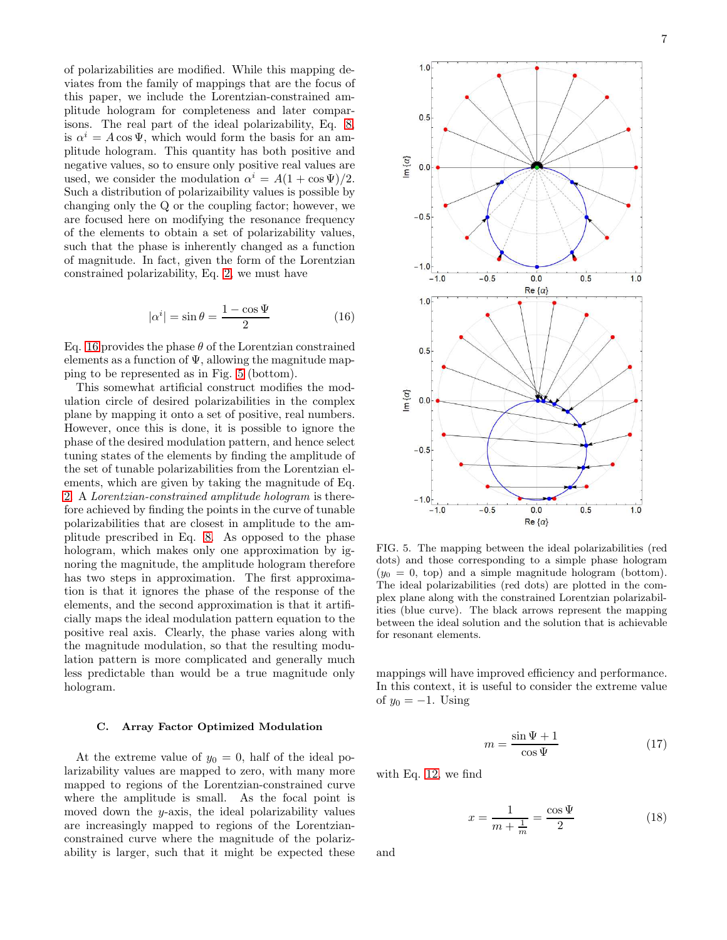of polarizabilities are modified. While this mapping deviates from the family of mappings that are the focus of this paper, we include the Lorentzian-constrained amplitude hologram for completeness and later comparisons. The real part of the ideal polarizability, Eq. [8,](#page-5-4) is  $\alpha^i = A \cos \Psi$ , which would form the basis for an amplitude hologram. This quantity has both positive and negative values, so to ensure only positive real values are used, we consider the modulation  $\alpha^i = A(1 + \cos \Psi)/2$ . Such a distribution of polarizaibility values is possible by changing only the Q or the coupling factor; however, we are focused here on modifying the resonance frequency of the elements to obtain a set of polarizability values, such that the phase is inherently changed as a function of magnitude. In fact, given the form of the Lorentzian constrained polarizability, Eq. [2,](#page-1-3) we must have

<span id="page-6-1"></span>
$$
|\alpha^i| = \sin \theta = \frac{1 - \cos \Psi}{2} \tag{16}
$$

Eq. [16](#page-6-1) provides the phase  $\theta$  of the Lorentzian constrained elements as a function of  $\Psi$ , allowing the magnitude mapping to be represented as in Fig. [5](#page-6-0) (bottom).

This somewhat artificial construct modifies the modulation circle of desired polarizabilities in the complex plane by mapping it onto a set of positive, real numbers. However, once this is done, it is possible to ignore the phase of the desired modulation pattern, and hence select tuning states of the elements by finding the amplitude of the set of tunable polarizabilities from the Lorentzian elements, which are given by taking the magnitude of Eq. [2.](#page-1-3) A Lorentzian-constrained amplitude hologram is therefore achieved by finding the points in the curve of tunable polarizabilities that are closest in amplitude to the amplitude prescribed in Eq. [8.](#page-5-4) As opposed to the phase hologram, which makes only one approximation by ignoring the magnitude, the amplitude hologram therefore has two steps in approximation. The first approximation is that it ignores the phase of the response of the elements, and the second approximation is that it artificially maps the ideal modulation pattern equation to the positive real axis. Clearly, the phase varies along with the magnitude modulation, so that the resulting modulation pattern is more complicated and generally much less predictable than would be a true magnitude only hologram.

## C. Array Factor Optimized Modulation

At the extreme value of  $y_0 = 0$ , half of the ideal polarizability values are mapped to zero, with many more mapped to regions of the Lorentzian-constrained curve where the amplitude is small. As the focal point is moved down the  $y$ -axis, the ideal polarizability values are increasingly mapped to regions of the Lorentzianconstrained curve where the magnitude of the polarizability is larger, such that it might be expected these



<span id="page-6-0"></span>FIG. 5. The mapping between the ideal polarizabilities (red dots) and those corresponding to a simple phase hologram  $(y_0 = 0, \text{ top})$  and a simple magnitude hologram (bottom). The ideal polarizabilities (red dots) are plotted in the complex plane along with the constrained Lorentzian polarizabilities (blue curve). The black arrows represent the mapping between the ideal solution and the solution that is achievable for resonant elements.

mappings will have improved efficiency and performance. In this context, it is useful to consider the extreme value of  $y_0 = -1$ . Using

$$
m = \frac{\sin \Psi + 1}{\cos \Psi} \tag{17}
$$

with Eq. [12,](#page-5-3) we find

$$
x = \frac{1}{m + \frac{1}{m}} = \frac{\cos \Psi}{2}
$$
 (18)

and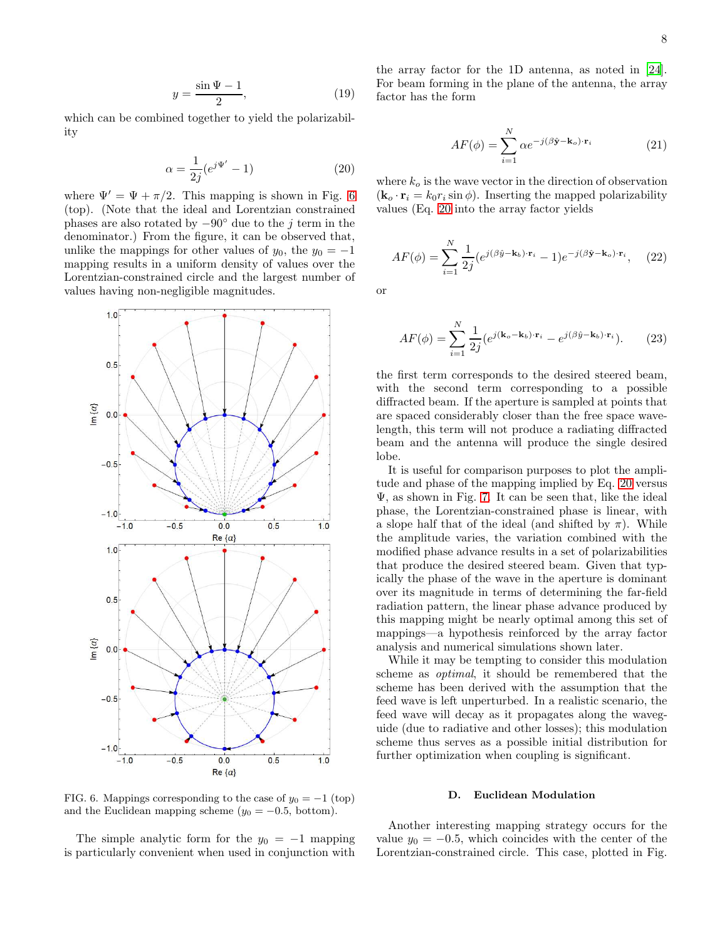$$
y = \frac{\sin \Psi - 1}{2},\tag{19}
$$

which can be combined together to yield the polarizability

<span id="page-7-1"></span>
$$
\alpha = \frac{1}{2j} (e^{j\Psi'} - 1) \tag{20}
$$

where  $\Psi' = \Psi + \pi/2$ . This mapping is shown in Fig. [6](#page-7-0) (top). (Note that the ideal and Lorentzian constrained phases are also rotated by  $-90°$  due to the j term in the denominator.) From the figure, it can be observed that, unlike the mappings for other values of  $y_0$ , the  $y_0 = -1$ mapping results in a uniform density of values over the Lorentzian-constrained circle and the largest number of values having non-negligible magnitudes.



<span id="page-7-0"></span>FIG. 6. Mappings corresponding to the case of  $y_0 = -1$  (top) and the Euclidean mapping scheme  $(y_0 = -0.5, \text{ bottom})$ .

The simple analytic form for the  $y_0 = -1$  mapping is particularly convenient when used in conjunction with

the array factor for the 1D antenna, as noted in [\[24\]](#page-12-12). For beam forming in the plane of the antenna, the array factor has the form

<span id="page-7-2"></span>
$$
AF(\phi) = \sum_{i=1}^{N} \alpha e^{-j(\beta \hat{\mathbf{y}} - \mathbf{k}_o) \cdot \mathbf{r}_i}
$$
 (21)

where  $k_o$  is the wave vector in the direction of observation  $(\mathbf{k}_{o} \cdot \mathbf{r}_{i} = k_{0} r_{i} \sin \phi)$ . Inserting the mapped polarizability values (Eq. [20](#page-7-1) into the array factor yields

$$
AF(\phi) = \sum_{i=1}^{N} \frac{1}{2j} (e^{j(\beta \hat{y} - \mathbf{k}_b) \cdot \mathbf{r}_i} - 1) e^{-j(\beta \hat{\mathbf{y}} - \mathbf{k}_o) \cdot \mathbf{r}_i}, \quad (22)
$$

or

$$
AF(\phi) = \sum_{i=1}^{N} \frac{1}{2j} (e^{j(\mathbf{k}_o - \mathbf{k}_b) \cdot \mathbf{r}_i} - e^{j(\beta \hat{y} - \mathbf{k}_b) \cdot \mathbf{r}_i}).
$$
 (23)

the first term corresponds to the desired steered beam, with the second term corresponding to a possible diffracted beam. If the aperture is sampled at points that are spaced considerably closer than the free space wavelength, this term will not produce a radiating diffracted beam and the antenna will produce the single desired lobe.

It is useful for comparison purposes to plot the amplitude and phase of the mapping implied by Eq. [20](#page-7-1) versus Ψ, as shown in Fig. [7.](#page-8-1) It can be seen that, like the ideal phase, the Lorentzian-constrained phase is linear, with a slope half that of the ideal (and shifted by  $\pi$ ). While the amplitude varies, the variation combined with the modified phase advance results in a set of polarizabilities that produce the desired steered beam. Given that typically the phase of the wave in the aperture is dominant over its magnitude in terms of determining the far-field radiation pattern, the linear phase advance produced by this mapping might be nearly optimal among this set of mappings—a hypothesis reinforced by the array factor analysis and numerical simulations shown later.

While it may be tempting to consider this modulation scheme as optimal, it should be remembered that the scheme has been derived with the assumption that the feed wave is left unperturbed. In a realistic scenario, the feed wave will decay as it propagates along the waveguide (due to radiative and other losses); this modulation scheme thus serves as a possible initial distribution for further optimization when coupling is significant.

### D. Euclidean Modulation

Another interesting mapping strategy occurs for the value  $y_0 = -0.5$ , which coincides with the center of the Lorentzian-constrained circle. This case, plotted in Fig.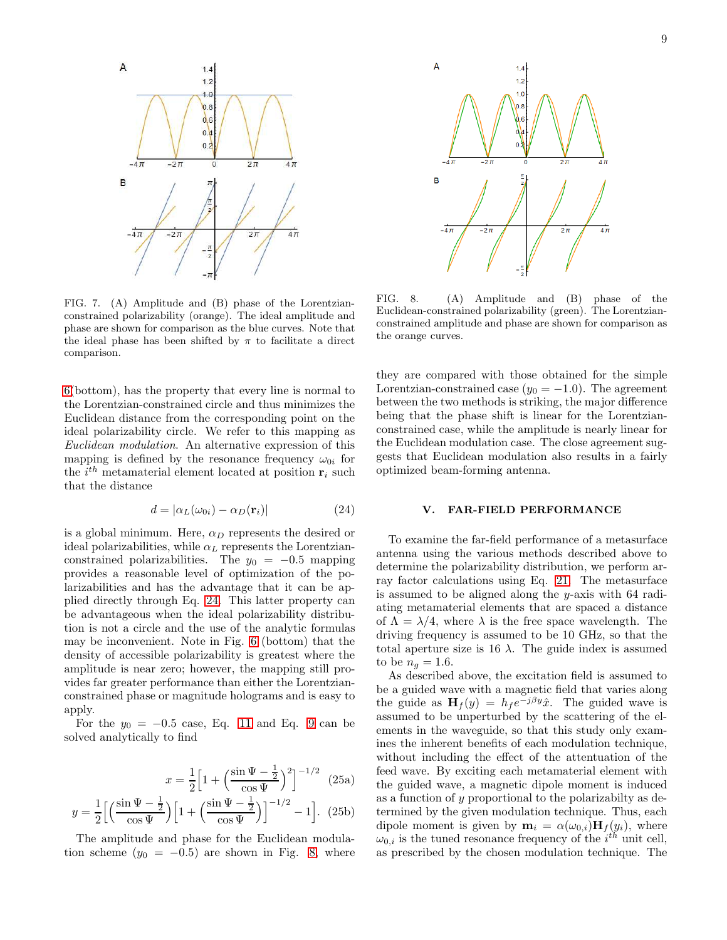

<span id="page-8-1"></span>FIG. 7. (A) Amplitude and (B) phase of the Lorentzianconstrained polarizability (orange). The ideal amplitude and phase are shown for comparison as the blue curves. Note that the ideal phase has been shifted by  $\pi$  to facilitate a direct comparison.

[6\(](#page-7-0)bottom), has the property that every line is normal to the Lorentzian-constrained circle and thus minimizes the Euclidean distance from the corresponding point on the ideal polarizability circle. We refer to this mapping as Euclidean modulation. An alternative expression of this mapping is defined by the resonance frequency  $\omega_{0i}$  for the  $i^{th}$  metamaterial element located at position  $\mathbf{r}_i$  such that the distance

<span id="page-8-2"></span>
$$
d = |\alpha_L(\omega_{0i}) - \alpha_D(\mathbf{r}_i)| \tag{24}
$$

is a global minimum. Here,  $\alpha_D$  represents the desired or ideal polarizabilities, while  $\alpha_L$  represents the Lorentzianconstrained polarizabilities. The  $y_0 = -0.5$  mapping provides a reasonable level of optimization of the polarizabilities and has the advantage that it can be applied directly through Eq. [24.](#page-8-2) This latter property can be advantageous when the ideal polarizability distribution is not a circle and the use of the analytic formulas may be inconvenient. Note in Fig. [6](#page-7-0) (bottom) that the density of accessible polarizability is greatest where the amplitude is near zero; however, the mapping still provides far greater performance than either the Lorentzianconstrained phase or magnitude holograms and is easy to apply.

For the  $y_0 = -0.5$  case, Eq. [11](#page-5-1) and Eq. [9](#page-5-0) can be solved analytically to find

$$
x = \frac{1}{2} \left[ 1 + \left( \frac{\sin \Psi - \frac{1}{2}}{\cos \Psi} \right)^2 \right]^{-1/2} \tag{25a}
$$

$$
y = \frac{1}{2} \left[ \left( \frac{\sin \Psi - \frac{1}{2}}{\cos \Psi} \right) \left[ 1 + \left( \frac{\sin \Psi - \frac{1}{2}}{\cos \Psi} \right) \right]^{-1/2} - 1 \right].
$$
 (25b)

The amplitude and phase for the Euclidean modulation scheme  $(y_0 = -0.5)$  are shown in Fig. [8,](#page-8-3) where



<span id="page-8-3"></span>FIG. 8. (A) Amplitude and (B) phase of the Euclidean-constrained polarizability (green). The Lorentzianconstrained amplitude and phase are shown for comparison as the orange curves.

they are compared with those obtained for the simple Lorentzian-constrained case  $(y_0 = -1.0)$ . The agreement between the two methods is striking, the major difference being that the phase shift is linear for the Lorentzianconstrained case, while the amplitude is nearly linear for the Euclidean modulation case. The close agreement suggests that Euclidean modulation also results in a fairly optimized beam-forming antenna.

#### <span id="page-8-0"></span>V. FAR-FIELD PERFORMANCE

To examine the far-field performance of a metasurface antenna using the various methods described above to determine the polarizability distribution, we perform array factor calculations using Eq. [21.](#page-7-2) The metasurface is assumed to be aligned along the y-axis with 64 radiating metamaterial elements that are spaced a distance of  $\Lambda = \lambda/4$ , where  $\lambda$  is the free space wavelength. The driving frequency is assumed to be 10 GHz, so that the total aperture size is  $16 \lambda$ . The guide index is assumed to be  $n_q = 1.6$ .

As described above, the excitation field is assumed to be a guided wave with a magnetic field that varies along the guide as  $\mathbf{H}_f(y) = h_f e^{-j\beta y} \hat{x}$ . The guided wave is assumed to be unperturbed by the scattering of the elements in the waveguide, so that this study only examines the inherent benefits of each modulation technique, without including the effect of the attentuation of the feed wave. By exciting each metamaterial element with the guided wave, a magnetic dipole moment is induced as a function of y proportional to the polarizabilty as determined by the given modulation technique. Thus, each dipole moment is given by  $\mathbf{m}_i = \alpha(\omega_{0,i}) \mathbf{H}_f(y_i)$ , where  $\omega_{0,i}$  is the tuned resonance frequency of the  $i^{th}$  unit cell, as prescribed by the chosen modulation technique. The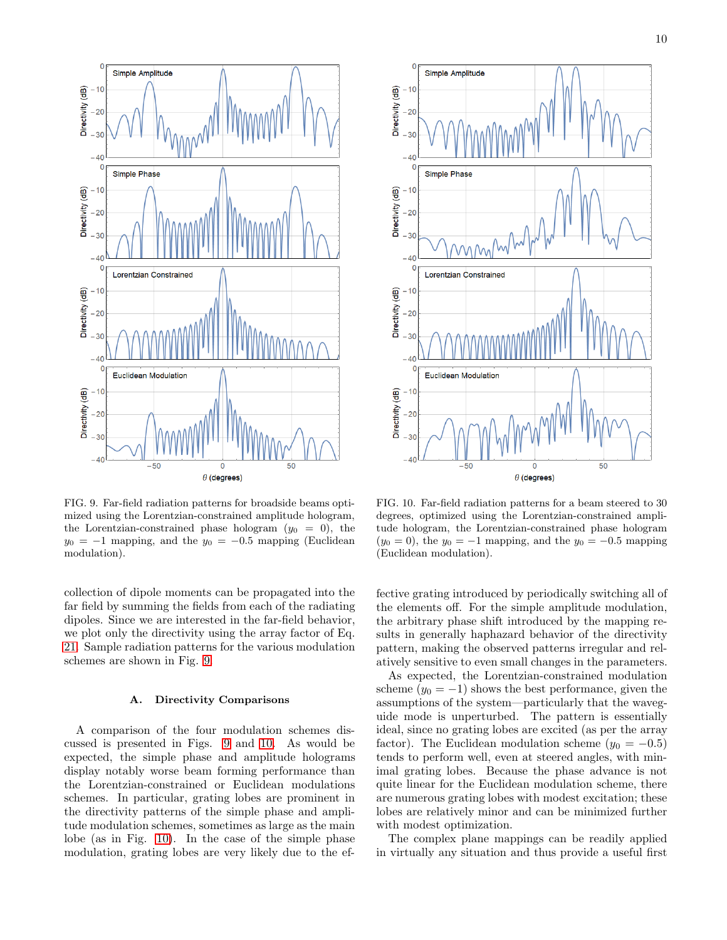

<span id="page-9-0"></span>FIG. 9. Far-field radiation patterns for broadside beams optimized using the Lorentzian-constrained amplitude hologram, the Lorentzian-constrained phase hologram  $(y_0 = 0)$ , the  $y_0 = -1$  mapping, and the  $y_0 = -0.5$  mapping (Euclidean modulation).

collection of dipole moments can be propagated into the far field by summing the fields from each of the radiating dipoles. Since we are interested in the far-field behavior, we plot only the directivity using the array factor of Eq. [21.](#page-7-2) Sample radiation patterns for the various modulation schemes are shown in Fig. [9.](#page-9-0)

## A. Directivity Comparisons

A comparison of the four modulation schemes discussed is presented in Figs. [9](#page-9-0) and [10.](#page-9-1) As would be expected, the simple phase and amplitude holograms display notably worse beam forming performance than the Lorentzian-constrained or Euclidean modulations schemes. In particular, grating lobes are prominent in the directivity patterns of the simple phase and amplitude modulation schemes, sometimes as large as the main lobe (as in Fig. [10\)](#page-9-1). In the case of the simple phase modulation, grating lobes are very likely due to the ef-



<span id="page-9-1"></span>FIG. 10. Far-field radiation patterns for a beam steered to 30 degrees, optimized using the Lorentzian-constrained amplitude hologram, the Lorentzian-constrained phase hologram  $(y_0 = 0)$ , the  $y_0 = -1$  mapping, and the  $y_0 = -0.5$  mapping (Euclidean modulation).

fective grating introduced by periodically switching all of the elements off. For the simple amplitude modulation, the arbitrary phase shift introduced by the mapping results in generally haphazard behavior of the directivity pattern, making the observed patterns irregular and relatively sensitive to even small changes in the parameters.

As expected, the Lorentzian-constrained modulation scheme  $(y_0 = -1)$  shows the best performance, given the assumptions of the system—particularly that the waveguide mode is unperturbed. The pattern is essentially ideal, since no grating lobes are excited (as per the array factor). The Euclidean modulation scheme  $(y_0 = -0.5)$ tends to perform well, even at steered angles, with minimal grating lobes. Because the phase advance is not quite linear for the Euclidean modulation scheme, there are numerous grating lobes with modest excitation; these lobes are relatively minor and can be minimized further with modest optimization.

The complex plane mappings can be readily applied in virtually any situation and thus provide a useful first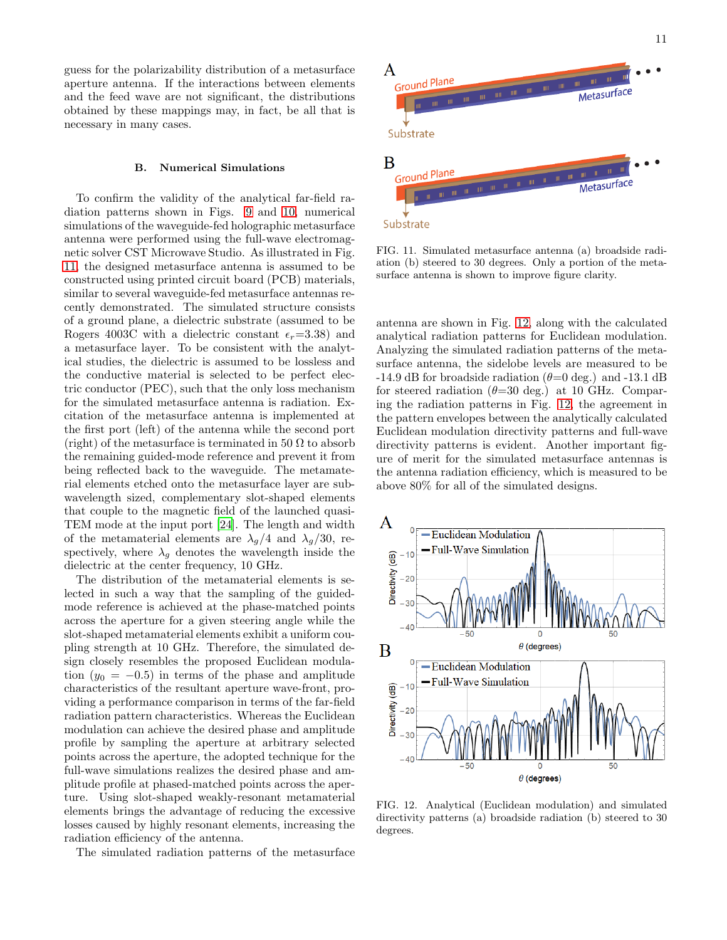guess for the polarizability distribution of a metasurface aperture antenna. If the interactions between elements and the feed wave are not significant, the distributions obtained by these mappings may, in fact, be all that is necessary in many cases.

#### B. Numerical Simulations

To confirm the validity of the analytical far-field radiation patterns shown in Figs. [9](#page-9-0) and [10,](#page-9-1) numerical simulations of the waveguide-fed holographic metasurface antenna were performed using the full-wave electromagnetic solver CST Microwave Studio. As illustrated in Fig. [11,](#page-10-0) the designed metasurface antenna is assumed to be constructed using printed circuit board (PCB) materials, similar to several waveguide-fed metasurface antennas recently demonstrated. The simulated structure consists of a ground plane, a dielectric substrate (assumed to be Rogers 4003C with a dielectric constant  $\epsilon_r$ =3.38) and a metasurface layer. To be consistent with the analytical studies, the dielectric is assumed to be lossless and the conductive material is selected to be perfect electric conductor (PEC), such that the only loss mechanism for the simulated metasurface antenna is radiation. Excitation of the metasurface antenna is implemented at the first port (left) of the antenna while the second port (right) of the metasurface is terminated in 50  $\Omega$  to absorb the remaining guided-mode reference and prevent it from being reflected back to the waveguide. The metamaterial elements etched onto the metasurface layer are subwavelength sized, complementary slot-shaped elements that couple to the magnetic field of the launched quasi-TEM mode at the input port [\[24](#page-12-12)]. The length and width of the metamaterial elements are  $\lambda_g/4$  and  $\lambda_g/30$ , respectively, where  $\lambda_g$  denotes the wavelength inside the dielectric at the center frequency, 10 GHz.

The distribution of the metamaterial elements is selected in such a way that the sampling of the guidedmode reference is achieved at the phase-matched points across the aperture for a given steering angle while the slot-shaped metamaterial elements exhibit a uniform coupling strength at 10 GHz. Therefore, the simulated design closely resembles the proposed Euclidean modulation  $(y_0 = -0.5)$  in terms of the phase and amplitude characteristics of the resultant aperture wave-front, providing a performance comparison in terms of the far-field radiation pattern characteristics. Whereas the Euclidean modulation can achieve the desired phase and amplitude profile by sampling the aperture at arbitrary selected points across the aperture, the adopted technique for the full-wave simulations realizes the desired phase and amplitude profile at phased-matched points across the aperture. Using slot-shaped weakly-resonant metamaterial elements brings the advantage of reducing the excessive losses caused by highly resonant elements, increasing the radiation efficiency of the antenna.

The simulated radiation patterns of the metasurface



<span id="page-10-0"></span>FIG. 11. Simulated metasurface antenna (a) broadside radiation (b) steered to 30 degrees. Only a portion of the metasurface antenna is shown to improve figure clarity.

antenna are shown in Fig. [12,](#page-10-1) along with the calculated analytical radiation patterns for Euclidean modulation. Analyzing the simulated radiation patterns of the metasurface antenna, the sidelobe levels are measured to be -14.9 dB for broadside radiation  $(\theta=0 \text{ deg.})$  and -13.1 dB for steered radiation  $(\theta=30 \text{ deg.})$  at 10 GHz. Comparing the radiation patterns in Fig. [12,](#page-10-1) the agreement in the pattern envelopes between the analytically calculated Euclidean modulation directivity patterns and full-wave directivity patterns is evident. Another important figure of merit for the simulated metasurface antennas is the antenna radiation efficiency, which is measured to be above 80% for all of the simulated designs.



<span id="page-10-1"></span>FIG. 12. Analytical (Euclidean modulation) and simulated directivity patterns (a) broadside radiation (b) steered to 30 degrees.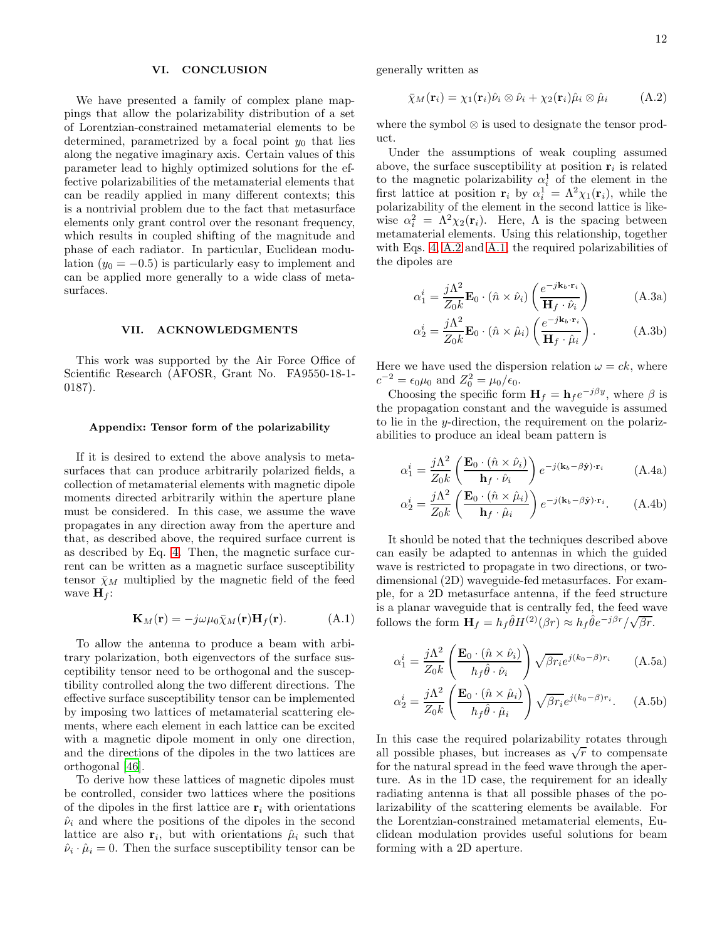## <span id="page-11-0"></span>VI. CONCLUSION

We have presented a family of complex plane mappings that allow the polarizability distribution of a set of Lorentzian-constrained metamaterial elements to be determined, parametrized by a focal point  $y_0$  that lies along the negative imaginary axis. Certain values of this parameter lead to highly optimized solutions for the effective polarizabilities of the metamaterial elements that can be readily applied in many different contexts; this is a nontrivial problem due to the fact that metasurface elements only grant control over the resonant frequency, which results in coupled shifting of the magnitude and phase of each radiator. In particular, Euclidean modulation  $(y_0 = -0.5)$  is particularly easy to implement and can be applied more generally to a wide class of metasurfaces.

## VII. ACKNOWLEDGMENTS

This work was supported by the Air Force Office of Scientific Research (AFOSR, Grant No. FA9550-18-1- 0187).

#### Appendix: Tensor form of the polarizability

If it is desired to extend the above analysis to metasurfaces that can produce arbitrarily polarized fields, a collection of metamaterial elements with magnetic dipole moments directed arbitrarily within the aperture plane must be considered. In this case, we assume the wave propagates in any direction away from the aperture and that, as described above, the required surface current is as described by Eq. [4.](#page-3-1) Then, the magnetic surface current can be written as a magnetic surface susceptibility tensor  $\bar{\chi}_M$  multiplied by the magnetic field of the feed wave  $\mathbf{H}_f$ :

<span id="page-11-2"></span>
$$
\mathbf{K}_M(\mathbf{r}) = -j\omega\mu_0 \bar{\chi}_M(\mathbf{r}) \mathbf{H}_f(\mathbf{r}). \tag{A.1}
$$

To allow the antenna to produce a beam with arbitrary polarization, both eigenvectors of the surface susceptibility tensor need to be orthogonal and the susceptibility controlled along the two different directions. The effective surface susceptibility tensor can be implemented by imposing two lattices of metamaterial scattering elements, where each element in each lattice can be excited with a magnetic dipole moment in only one direction, and the directions of the dipoles in the two lattices are orthogonal [\[46\]](#page-13-11).

To derive how these lattices of magnetic dipoles must be controlled, consider two lattices where the positions of the dipoles in the first lattice are  $r_i$  with orientations  $\hat{\nu}_i$  and where the positions of the dipoles in the second lattice are also  $\mathbf{r}_i$ , but with orientations  $\hat{\mu}_i$  such that  $\hat{\nu}_i \cdot \hat{\mu}_i = 0$ . Then the surface susceptibility tensor can be

generally written as

<span id="page-11-1"></span>
$$
\bar{\chi}_M(\mathbf{r}_i) = \chi_1(\mathbf{r}_i)\hat{\nu}_i \otimes \hat{\nu}_i + \chi_2(\mathbf{r}_i)\hat{\mu}_i \otimes \hat{\mu}_i \tag{A.2}
$$

where the symbol ⊗ is used to designate the tensor product.

Under the assumptions of weak coupling assumed above, the surface susceptibility at position  $\mathbf{r}_i$  is related to the magnetic polarizability  $\alpha_i^1$  of the element in the first lattice at position  $\mathbf{r}_i$  by  $\alpha_i^1 = \Lambda^2 \chi_1(\mathbf{r}_i)$ , while the polarizability of the element in the second lattice is likewise  $\alpha_i^2 = \Lambda^2 \chi_2(\mathbf{r}_i)$ . Here,  $\Lambda$  is the spacing between metamaterial elements. Using this relationship, together with Eqs. [4,](#page-3-1) [A.2](#page-11-1) and [A.1,](#page-11-2) the required polarizabilities of the dipoles are

$$
\alpha_1^i = \frac{j\Lambda^2}{Z_0 k} \mathbf{E}_0 \cdot (\hat{n} \times \hat{\nu}_i) \left( \frac{e^{-j\mathbf{k}_b \cdot \mathbf{r}_i}}{\mathbf{H}_f \cdot \hat{\nu}_i} \right)
$$
(A.3a)

$$
\alpha_2^i = \frac{j\Lambda^2}{Z_0 k} \mathbf{E}_0 \cdot (\hat{n} \times \hat{\mu}_i) \left( \frac{e^{-j\mathbf{k}_b \cdot \mathbf{r}_i}}{\mathbf{H}_f \cdot \hat{\mu}_i} \right). \tag{A.3b}
$$

Here we have used the dispersion relation  $\omega = ck$ , where  $c^{-2} = \epsilon_0 \mu_0$  and  $Z_0^2 = \mu_0 / \epsilon_0$ .

Choosing the specific form  $H_f = h_f e^{-j\beta y}$ , where  $\beta$  is the propagation constant and the waveguide is assumed to lie in the y-direction, the requirement on the polarizabilities to produce an ideal beam pattern is

$$
\alpha_1^i = \frac{j\Lambda^2}{Z_0 k} \left( \frac{\mathbf{E}_0 \cdot (\hat{n} \times \hat{\nu}_i)}{\mathbf{h}_f \cdot \hat{\nu}_i} \right) e^{-j(\mathbf{k}_b - \beta \hat{\mathbf{y}}) \cdot \mathbf{r}_i} \tag{A.4a}
$$

$$
\alpha_2^i = \frac{j\Lambda^2}{Z_0 k} \left( \frac{\mathbf{E}_0 \cdot (\hat{n} \times \hat{\mu}_i)}{\mathbf{h}_f \cdot \hat{\mu}_i} \right) e^{-j(\mathbf{k}_b - \beta \hat{\mathbf{y}}) \cdot \mathbf{r}_i}.
$$
 (A.4b)

It should be noted that the techniques described above can easily be adapted to antennas in which the guided wave is restricted to propagate in two directions, or twodimensional (2D) waveguide-fed metasurfaces. For example, for a 2D metasurface antenna, if the feed structure is a planar waveguide that is centrally fed, the feed wave follows the form  $\mathbf{H}_f = h_f \hat{\theta} H^{(2)}(\beta r) \approx h_f \hat{\theta} e^{-j\beta r} / \sqrt{\beta r}$ .

$$
\alpha_1^i = \frac{j\Lambda^2}{Z_0 k} \left( \frac{\mathbf{E}_0 \cdot (\hat{n} \times \hat{\nu}_i)}{h_f \hat{\theta} \cdot \hat{\nu}_i} \right) \sqrt{\beta r_i} e^{j(k_0 - \beta) r_i} \tag{A.5a}
$$

$$
\alpha_2^i = \frac{j\Lambda^2}{Z_0 k} \left( \frac{\mathbf{E}_0 \cdot (\hat{n} \times \hat{\mu}_i)}{h_f \hat{\theta} \cdot \hat{\mu}_i} \right) \sqrt{\beta r_i} e^{j(k_0 - \beta) r_i}.
$$
 (A.5b)

In this case the required polarizability rotates through all possible phases, but increases as  $\sqrt{r}$  to compensate for the natural spread in the feed wave through the aperture. As in the 1D case, the requirement for an ideally radiating antenna is that all possible phases of the polarizability of the scattering elements be available. For the Lorentzian-constrained metamaterial elements, Euclidean modulation provides useful solutions for beam forming with a 2D aperture.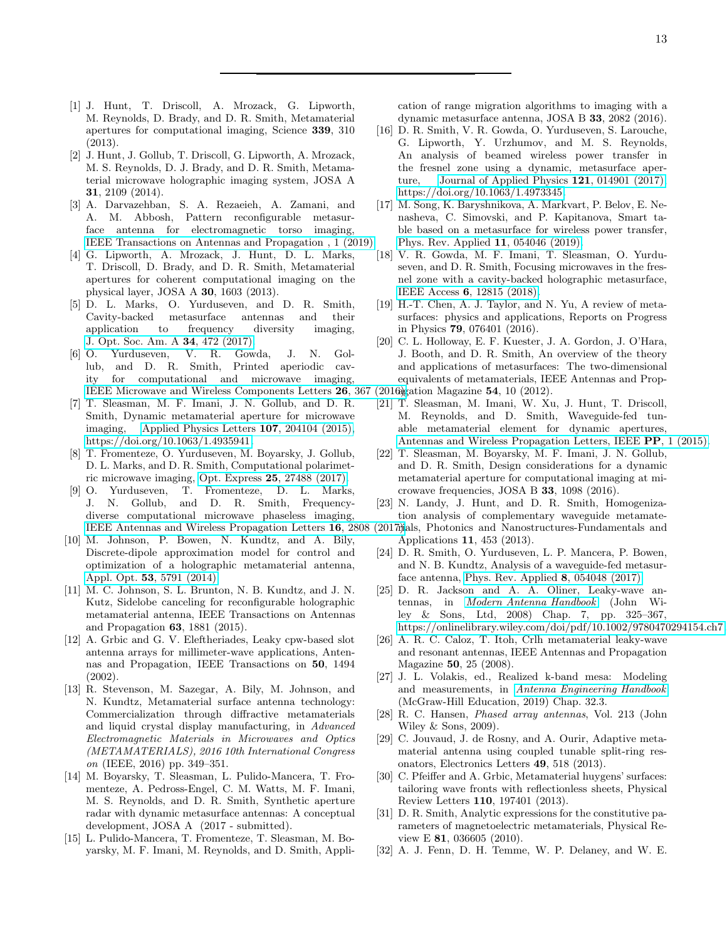- <span id="page-12-0"></span>[1] J. Hunt, T. Driscoll, A. Mrozack, G. Lipworth, M. Reynolds, D. Brady, and D. R. Smith, Metamaterial apertures for computational imaging, Science 339, 310 (2013).
- [2] J. Hunt, J. Gollub, T. Driscoll, G. Lipworth, A. Mrozack, M. S. Reynolds, D. J. Brady, and D. R. Smith, Metamaterial microwave holographic imaging system, JOSA A 31, 2109 (2014).
- [3] A. Darvazehban, S. A. Rezaeieh, A. Zamani, and A. M. Abbosh, Pattern reconfigurable metasurface antenna for electromagnetic torso imaging, [IEEE Transactions on Antennas and Propagation , 1 \(2019\).](https://doi.org/10.1109/TAP.2019.2916576)
- <span id="page-12-21"></span>[4] G. Lipworth, A. Mrozack, J. Hunt, D. L. Marks, T. Driscoll, D. Brady, and D. R. Smith, Metamaterial apertures for coherent computational imaging on the physical layer, JOSA A 30, 1603 (2013).
- [5] D. L. Marks, O. Yurduseven, and D. R. Smith, Cavity-backed metasurface antennas and their application to frequency diversity imaging, [J. Opt. Soc. Am. A](https://doi.org/10.1364/JOSAA.34.000472) 34, 472 (2017).
- [6] O. Yurduseven, V. R. Gowda, J. N. Gollub, and D. R. Smith, Printed aperiodic cavity for computational and microwave imaging, [IEEE Microwave and Wireless Components Letters](https://doi.org/10.1109/LMWC.2016.2548443) 26, 367
- [7] T. Sleasman, M. F. Imani, J. N. Gollub, and D. R. Smith, Dynamic metamaterial aperture for microwave imaging, [Applied Physics Letters](https://doi.org/10.1063/1.4935941) 107, 204104 (2015), [https://doi.org/10.1063/1.4935941.](https://arxiv.org/abs/https://doi.org/10.1063/1.4935941)
- [8] T. Fromenteze, O. Yurduseven, M. Boyarsky, J. Gollub, D. L. Marks, and D. R. Smith, Computational polarimetric microwave imaging, Opt. Express 25[, 27488 \(2017\).](https://doi.org/10.1364/OE.25.027488)
- <span id="page-12-1"></span>[9] O. Yurduseven, T. Fromenteze, D. L. Marks, J. N. Gollub, and D. R. Smith, Frequencydiverse computational microwave phaseless imaging, [IEEE Antennas and Wireless Propagation Letters](https://doi.org/10.1109/LAWP.2017.2748139) 16, 2808 (2017).
- <span id="page-12-2"></span>[10] M. Johnson, P. Bowen, N. Kundtz, and A. Bily, Discrete-dipole approximation model for control and optimization of a holographic metamaterial antenna, Appl. Opt. 53[, 5791 \(2014\).](https://doi.org/10.1364/AO.53.005791)
- <span id="page-12-22"></span>[11] M. C. Johnson, S. L. Brunton, N. B. Kundtz, and J. N. Kutz, Sidelobe canceling for reconfigurable holographic metamaterial antenna, IEEE Transactions on Antennas and Propagation 63, 1881 (2015).
- [12] A. Grbic and G. V. Eleftheriades, Leaky cpw-based slot antenna arrays for millimeter-wave applications, Antennas and Propagation, IEEE Transactions on 50, 1494 (2002).
- <span id="page-12-3"></span>[13] R. Stevenson, M. Sazegar, A. Bily, M. Johnson, and N. Kundtz, Metamaterial surface antenna technology: Commercialization through diffractive metamaterials and liquid crystal display manufacturing, in *Advanced Electromagnetic Materials in Microwaves and Optics (METAMATERIALS), 2016 10th International Congress on* (IEEE, 2016) pp. 349–351.
- <span id="page-12-4"></span>[14] M. Boyarsky, T. Sleasman, L. Pulido-Mancera, T. Fromenteze, A. Pedross-Engel, C. M. Watts, M. F. Imani, M. S. Reynolds, and D. R. Smith, Synthetic aperture radar with dynamic metasurface antennas: A conceptual development, JOSA A (2017 - submitted).
- <span id="page-12-5"></span>[15] L. Pulido-Mancera, T. Fromenteze, T. Sleasman, M. Boyarsky, M. F. Imani, M. Reynolds, and D. Smith, Appli-

cation of range migration algorithms to imaging with a dynamic metasurface antenna, JOSA B 33, 2082 (2016).

- [16] D. R. Smith, V. R. Gowda, O. Yurduseven, S. Larouche, G. Lipworth, Y. Urzhumov, and M. S. Reynolds, An analysis of beamed wireless power transfer in the fresnel zone using a dynamic, metasurface aperture, [Journal of Applied Physics](https://doi.org/10.1063/1.4973345) 121, 014901 (2017), [https://doi.org/10.1063/1.4973345.](https://arxiv.org/abs/https://doi.org/10.1063/1.4973345)
- [17] M. Song, K. Baryshnikova, A. Markvart, P. Belov, E. Nenasheva, C. Simovski, and P. Kapitanova, Smart table based on a metasurface for wireless power transfer, [Phys. Rev. Applied](https://doi.org/10.1103/PhysRevApplied.11.054046) 11, 054046 (2019).
- <span id="page-12-6"></span>[18] V. R. Gowda, M. F. Imani, T. Sleasman, O. Yurduseven, and D. R. Smith, Focusing microwaves in the fresnel zone with a cavity-backed holographic metasurface, IEEE Access 6[, 12815 \(2018\).](https://doi.org/10.1109/ACCESS.2018.2802379)
- <span id="page-12-7"></span>[19] H.-T. Chen, A. J. Taylor, and N. Yu, A review of metasurfaces: physics and applications, Reports on Progress in Physics 79, 076401 (2016).
- <span id="page-12-8"></span>[20] C. L. Holloway, E. F. Kuester, J. A. Gordon, J. O'Hara, J. Booth, and D. R. Smith, An overview of the theory and applications of metasurfaces: The two-dimensional equivalents of metamaterials, IEEE Antennas and Prop-
- $(2016)$ gation Magazine 54, 10  $(2012)$ .
- <span id="page-12-9"></span>[21] T. Sleasman, M. Imani, W. Xu, J. Hunt, T. Driscoll, M. Reynolds, and D. Smith, Waveguide-fed tunable metamaterial element for dynamic apertures, [Antennas and Wireless Propagation Letters, IEEE](https://doi.org/10.1109/LAWP.2015.2462818) PP, 1 (2015).
- <span id="page-12-10"></span>[22] T. Sleasman, M. Boyarsky, M. F. Imani, J. N. Gollub, and D. R. Smith, Design considerations for a dynamic metamaterial aperture for computational imaging at microwave frequencies, JOSA B 33, 1098 (2016).
- <span id="page-12-11"></span>[23] N. Landy, J. Hunt, and D. R. Smith, Homogenization analysis of complementary waveguide metamate-
- rials, Photonics and Nanostructures-Fundamentals and Applications 11, 453 (2013).
- <span id="page-12-12"></span>[24] D. R. Smith, O. Yurduseven, L. P. Mancera, P. Bowen, and N. B. Kundtz, Analysis of a waveguide-fed metasurface antenna, [Phys. Rev. Applied](https://doi.org/10.1103/PhysRevApplied.8.054048) 8, 054048 (2017).
- <span id="page-12-13"></span>[25] D. R. Jackson and A. A. Oliner, Leaky-wave antennas, in *[Modern Antenna Handbook](https://doi.org/https://doi.org/10.1002/9780470294154.ch7)* (John Wiley & Sons, Ltd, 2008) Chap. 7, pp. 325–367, [https://onlinelibrary.wiley.com/doi/pdf/10.1002/9780470294154.ch7.](https://arxiv.org/abs/https://onlinelibrary.wiley.com/doi/pdf/10.1002/9780470294154.ch7)
- <span id="page-12-14"></span>[26] A. R. C. Caloz, T. Itoh, Crlh metamaterial leaky-wave and resonant antennas, IEEE Antennas and Propagation Magazine 50, 25 (2008).
- <span id="page-12-15"></span>[27] J. L. Volakis, ed., Realized k-band mesa: Modeling and measurements, in *[Antenna Engineering Handbook](https://www.accessengineeringlibrary.com/content/book/9781259644696/toc-chapter/chapter32/section/section8)* (McGraw-Hill Education, 2019) Chap. 32.3.
- <span id="page-12-16"></span>[28] R. C. Hansen, *Phased array antennas*, Vol. 213 (John Wiley & Sons, 2009).
- <span id="page-12-17"></span>[29] C. Jouvaud, J. de Rosny, and A. Ourir, Adaptive metamaterial antenna using coupled tunable split-ring resonators, Electronics Letters 49, 518 (2013).
- <span id="page-12-18"></span>[30] C. Pfeiffer and A. Grbic, Metamaterial huygens' surfaces: tailoring wave fronts with reflectionless sheets, Physical Review Letters 110, 197401 (2013).
- <span id="page-12-19"></span>[31] D. R. Smith, Analytic expressions for the constitutive parameters of magnetoelectric metamaterials, Physical Review E 81, 036605 (2010).
- <span id="page-12-20"></span>[32] A. J. Fenn, D. H. Temme, W. P. Delaney, and W. E.